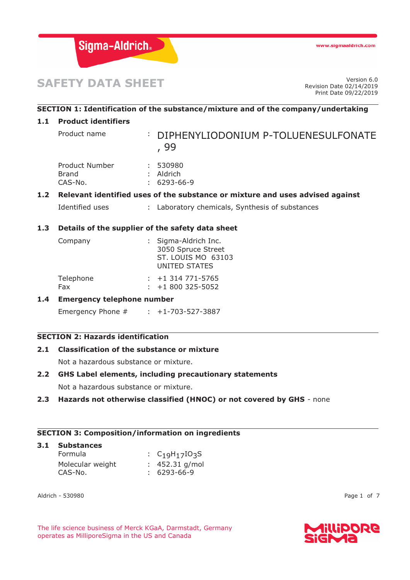

# **SAFETY DATA SHEET**

Revision Date 02/14/2019 Print Date 09/22/2019

# **SECTION 1: Identification of the substance/mixture and of the company/undertaking**

## **1.1 Product identifiers**

Product name : DIPHENYLIODONIUM P-TOLUENESULFONATE , 99

| Product Number | : 530980          |
|----------------|-------------------|
| Brand          | $:$ Aldrich       |
| CAS-No.        | $: 6293 - 66 - 9$ |

# **1.2 Relevant identified uses of the substance or mixture and uses advised against**

Identified uses : Laboratory chemicals, Synthesis of substances

## **1.3 Details of the supplier of the safety data sheet**

| Company   | : Sigma-Aldrich Inc.                |  |  |
|-----------|-------------------------------------|--|--|
|           | 3050 Spruce Street                  |  |  |
|           | ST. LOUIS MO 63103<br>UNITED STATES |  |  |
| Telephone | $: +1314771 - 5765$                 |  |  |
| Fax       | $\div$ +1 800 325-5052              |  |  |

# **1.4 Emergency telephone number**

Emergency Phone # : +1-703-527-3887

## **SECTION 2: Hazards identification**

#### **2.1 Classification of the substance or mixture**

Not a hazardous substance or mixture.

## **2.2 GHS Label elements, including precautionary statements**

Not a hazardous substance or mixture.

## **2.3 Hazards not otherwise classified (HNOC) or not covered by GHS** - none

## **SECTION 3: Composition/information on ingredients**

## **3.1 Substances**  Formula : C<sub>19</sub>H<sub>17</sub>IO<sub>3</sub>S Molecular weight : 452.31 g/mol CAS-No. : 6293-66-9

Aldrich - 530980 Page 1 of 7

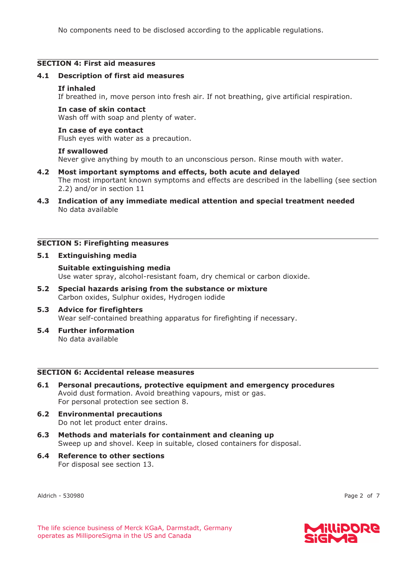No components need to be disclosed according to the applicable regulations.

## **SECTION 4: First aid measures**

#### **4.1 Description of first aid measures**

#### **If inhaled**

If breathed in, move person into fresh air. If not breathing, give artificial respiration.

#### **In case of skin contact**

Wash off with soap and plenty of water.

#### **In case of eye contact**

Flush eyes with water as a precaution.

#### **If swallowed**

Never give anything by mouth to an unconscious person. Rinse mouth with water.

- **4.2 Most important symptoms and effects, both acute and delayed**  The most important known symptoms and effects are described in the labelling (see section 2.2) and/or in section 11
- **4.3 Indication of any immediate medical attention and special treatment needed**  No data available

## **SECTION 5: Firefighting measures**

#### **5.1 Extinguishing media**

**Suitable extinguishing media**  Use water spray, alcohol-resistant foam, dry chemical or carbon dioxide.

**5.2 Special hazards arising from the substance or mixture**  Carbon oxides, Sulphur oxides, Hydrogen iodide

#### **5.3 Advice for firefighters**  Wear self-contained breathing apparatus for firefighting if necessary.

**5.4 Further information**  No data available

## **SECTION 6: Accidental release measures**

- **6.1 Personal precautions, protective equipment and emergency procedures**  Avoid dust formation. Avoid breathing vapours, mist or gas. For personal protection see section 8.
- **6.2 Environmental precautions**  Do not let product enter drains.
- **6.3 Methods and materials for containment and cleaning up**  Sweep up and shovel. Keep in suitable, closed containers for disposal.
- **6.4 Reference to other sections**  For disposal see section 13.

Aldrich - 530980 Page 2 of 7

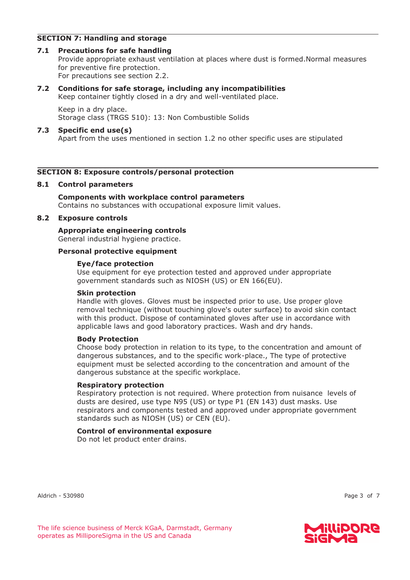## **SECTION 7: Handling and storage**

## **7.1 Precautions for safe handling**

Provide appropriate exhaust ventilation at places where dust is formed.Normal measures for preventive fire protection. For precautions see section 2.2.

## **7.2 Conditions for safe storage, including any incompatibilities**

Keep container tightly closed in a dry and well-ventilated place.

Keep in a dry place. Storage class (TRGS 510): 13: Non Combustible Solids

#### **7.3 Specific end use(s)**

Apart from the uses mentioned in section 1.2 no other specific uses are stipulated

## **SECTION 8: Exposure controls/personal protection**

#### **8.1 Control parameters**

## **Components with workplace control parameters**  Contains no substances with occupational exposure limit values.

#### **8.2 Exposure controls**

**Appropriate engineering controls**  General industrial hygiene practice.

#### **Personal protective equipment**

#### **Eye/face protection**

Use equipment for eye protection tested and approved under appropriate government standards such as NIOSH (US) or EN 166(EU).

#### **Skin protection**

Handle with gloves. Gloves must be inspected prior to use. Use proper glove removal technique (without touching glove's outer surface) to avoid skin contact with this product. Dispose of contaminated gloves after use in accordance with applicable laws and good laboratory practices. Wash and dry hands.

#### **Body Protection**

Choose body protection in relation to its type, to the concentration and amount of dangerous substances, and to the specific work-place., The type of protective equipment must be selected according to the concentration and amount of the dangerous substance at the specific workplace.

#### **Respiratory protection**

Respiratory protection is not required. Where protection from nuisance levels of dusts are desired, use type N95 (US) or type P1 (EN 143) dust masks. Use respirators and components tested and approved under appropriate government standards such as NIOSH (US) or CEN (EU).

#### **Control of environmental exposure**

Do not let product enter drains.

Aldrich - 530980 Page 3 of 7

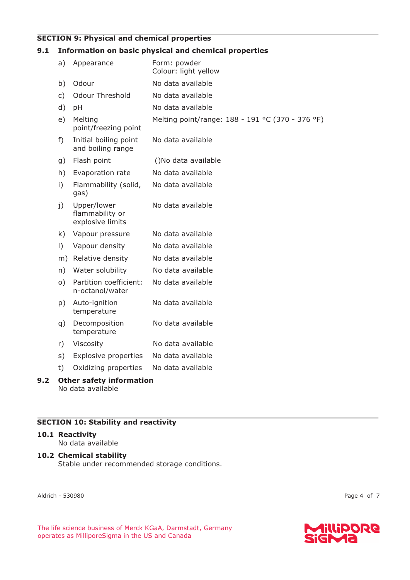# **SECTION 9: Physical and chemical properties**

# **9.1 Information on basic physical and chemical properties**

| a)             | Appearance                                         | Form: powder<br>Colour: light yellow             |
|----------------|----------------------------------------------------|--------------------------------------------------|
| b)             | Odour                                              | No data available                                |
| $\mathsf{C}$ ) | <b>Odour Threshold</b>                             | No data available                                |
| d)             | pH                                                 | No data available                                |
| e)             | Melting<br>point/freezing point                    | Melting point/range: 188 - 191 °C (370 - 376 °F) |
| f)             | Initial boiling point<br>and boiling range         | No data available                                |
| g)             | Flash point                                        | ()No data available                              |
| h)             | Evaporation rate                                   | No data available                                |
| i)             | Flammability (solid,<br>gas)                       | No data available                                |
| j)             | Upper/lower<br>flammability or<br>explosive limits | No data available                                |
| k)             | Vapour pressure                                    | No data available                                |
| $\vert$ )      | Vapour density                                     | No data available                                |
|                | m) Relative density                                | No data available                                |
| n)             | Water solubility                                   | No data available                                |
| $\circ)$       | Partition coefficient:<br>n-octanol/water          | No data available                                |
| p)             | Auto-ignition<br>temperature                       | No data available                                |
| q)             | Decomposition<br>temperature                       | No data available                                |
| r)             | Viscosity                                          | No data available                                |
| s)             | <b>Explosive properties</b>                        | No data available                                |
| t)             | Oxidizing properties                               | No data available                                |
|                |                                                    |                                                  |

**9.2 Other safety information**  No data available

# **SECTION 10: Stability and reactivity**

# **10.1 Reactivity**

No data available

# **10.2 Chemical stability**

Stable under recommended storage conditions.

Aldrich - 530980 Page 4 of 7

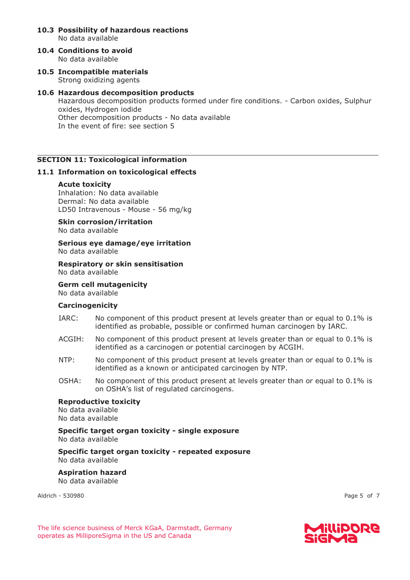- **10.3 Possibility of hazardous reactions**  No data available
- **10.4 Conditions to avoid**  No data available
- **10.5 Incompatible materials**  Strong oxidizing agents

## **10.6 Hazardous decomposition products**  Hazardous decomposition products formed under fire conditions. - Carbon oxides, Sulphur oxides, Hydrogen iodide Other decomposition products - No data available In the event of fire: see section 5

## **SECTION 11: Toxicological information**

#### **11.1 Information on toxicological effects**

#### **Acute toxicity**

Inhalation: No data available Dermal: No data available LD50 Intravenous - Mouse - 56 mg/kg

**Skin corrosion/irritation**  No data available

**Serious eye damage/eye irritation**  No data available

**Respiratory or skin sensitisation**  No data available

**Germ cell mutagenicity** 

No data available

#### **Carcinogenicity**

- IARC: No component of this product present at levels greater than or equal to 0.1% is identified as probable, possible or confirmed human carcinogen by IARC.
- ACGIH: No component of this product present at levels greater than or equal to 0.1% is identified as a carcinogen or potential carcinogen by ACGIH.
- NTP: No component of this product present at levels greater than or equal to 0.1% is identified as a known or anticipated carcinogen by NTP.
- OSHA: No component of this product present at levels greater than or equal to 0.1% is on OSHA's list of regulated carcinogens.

#### **Reproductive toxicity**

No data available No data available

**Specific target organ toxicity - single exposure**  No data available

**Specific target organ toxicity - repeated exposure**  No data available

**Aspiration hazard**  No data available

Aldrich - 530980 Page 5 of 7

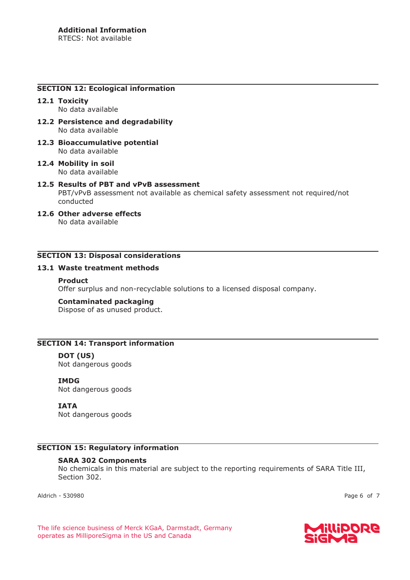#### **SECTION 12: Ecological information**

#### **12.1 Toxicity**  No data available

- **12.2 Persistence and degradability**  No data available
- **12.3 Bioaccumulative potential**  No data available
- **12.4 Mobility in soil**  No data available

# **12.5 Results of PBT and vPvB assessment**  PBT/vPvB assessment not available as chemical safety assessment not required/not conducted

**12.6 Other adverse effects**  No data available

## **SECTION 13: Disposal considerations**

## **13.1 Waste treatment methods**

#### **Product**

Offer surplus and non-recyclable solutions to a licensed disposal company.

#### **Contaminated packaging**

Dispose of as unused product.

## **SECTION 14: Transport information**

**DOT (US)** Not dangerous goods

**IMDG**

Not dangerous goods

#### **IATA**

Not dangerous goods

## **SECTION 15: Regulatory information**

#### **SARA 302 Components**

No chemicals in this material are subject to the reporting requirements of SARA Title III, Section 302.

Aldrich - 530980 Page 6 of 7